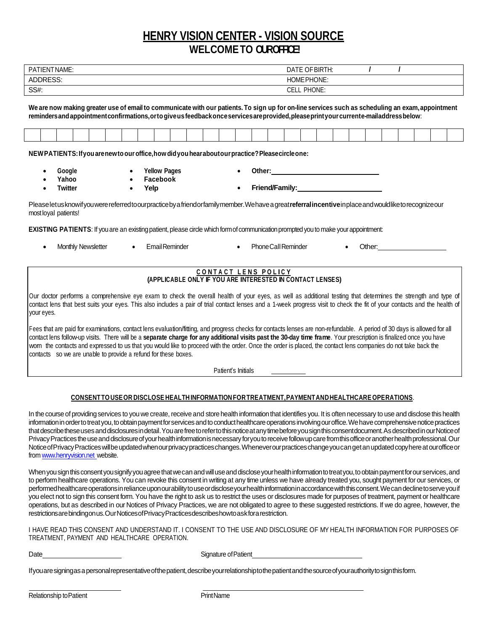# **HENRY VISION CENTER - VISION SOURCE** WELCOME TO **OUR OFFICE!**

| PATIENT NAME:   | OF BIRTH:<br>DATE. |  |
|-----------------|--------------------|--|
| <b>ADDRESS:</b> | HOME PHONE:        |  |
| SS#:            | PHONE:<br>CELL.    |  |

We are now making greater use of email to communicate with our patients. To sign up for on-line services such as scheduling an exam, appointment **remindersandappointmentconfirmations,ortogiveusfeedbackonceservicesareprovided,pleaseprintyourcurrente-mailaddressbelow**:

| and the contract of the contract of the contract of the contract of the contract of the contract of the contract of |  |  |  |  | the contract of the contract of the contract of the contract of the contract of the contract of the contract of | <u>in the community of the community of the community of the community of the community of the community of the community of the community of the community of the community of the community of the community of the community </u> | the contract of the contract of the contract of the contract of the contract of | the contract of the contract of the contract of the | the contract of the contract of the contract of the contract of | the contract of the contract of the contract of the contract of the contract of | $\mathcal{L} = \{ \mathcal{L} \mid \mathcal{L} \in \mathcal{L} \}$ . The contract of the contract of the contract of the contract of the contract of the contract of the contract of the contract of the contract of the contract of the contract of the con |  |  |  |  |  |
|---------------------------------------------------------------------------------------------------------------------|--|--|--|--|-----------------------------------------------------------------------------------------------------------------|--------------------------------------------------------------------------------------------------------------------------------------------------------------------------------------------------------------------------------------|---------------------------------------------------------------------------------|-----------------------------------------------------|-----------------------------------------------------------------|---------------------------------------------------------------------------------|--------------------------------------------------------------------------------------------------------------------------------------------------------------------------------------------------------------------------------------------------------------|--|--|--|--|--|
|                                                                                                                     |  |  |  |  |                                                                                                                 |                                                                                                                                                                                                                                      |                                                                                 |                                                     |                                                                 |                                                                                 |                                                                                                                                                                                                                                                              |  |  |  |  |  |

**NEWPATIENTS:Ifyouarenewtoouroffice,howdidyouhearaboutourpractice?Pleasecircleone:**

- **Yellow Pages Other: Google Yahoo Facebook**
- **Twitter Yelp Friend/Family:**

Pleaseletusknowifyouwerereferredtoourpracticebyafriendorfamilymember.Wehaveagreat**referralincentive**inplaceandwouldliketorecognizeour most loyal patients!

**EXISTING PATIENTS:** If you are an existing patient, please circle which form of communication prompted you to make your appointment:

Monthly Newsletter • Email Reminder • Phone Call Reminder • Other:

#### **C O N T A C T L E N S P O L I C Y (APPLICABLE ONLY IF YOU ARE INTERESTED IN CONTACT LENSES)**

Our doctor performs a comprehensive eye exam to check the overall health of your eyes, as well as additional testing that determines the strength and type of contact lens that best suits your eyes. This also includes a pair of trial contact lenses and a 1-week progress visit to check the fit of your contacts and the health of your eyes.

Fees that are paid for examinations, contact lens evaluation/fitting, and progress checks for contacts lenses are non-refundable. A period of 30 days is allowed for all contact lens follow-up visits. There will be a separate charge for any additional visits past the 30-day time frame. Your prescription is finalized once you have worn the contacts and expressed to us that you would like to proceed with the order. Once the order is placed, the contact lens companies do not take back the contacts so we are unable to provide a refund for these boxes.

Patient's Initials

#### **CONSENTTOUSEOR DISCLOSE HEALTH INFORMATIONFORTREATMENT,PAYMENTANDHEALTHCARE OPERATIONS**.

In the course of providing services to you we create, receive and store health information that identifies you. It is often necessary to use and disclose this health information in order to treat you, to obtain payment for services and to conduct healthcare operations involving our office. We have comprehensive notice practices that describe these uses and disclosures in detail. You are free to refer to this notice at any time before you sign this consent document. As described in our Notice of Privacy Practices the use and disclosure of your health information is necessary for you to receive follow up care from this office or another health professional. Our Notice of Privacy Practices will be updated when our privacy practices changes. Whenever our practices change you can get an updated copy here at our office or fro[m www.henryvision.net](http://www.henryvision.net/) website.

When you sign this consent you signify you agree that we can and will use and disclose your health information to treat you, to obtain payment for our services, and to perform healthcare operations. You can revoke this consent in writing at any time unless we have already treated you, sought payment for our services, or performed healthcare operations in reliance upon our ability to use or disclose your health information in accordance with this consent. We can decline to serve you if you elect not to sign this consent form.You have the right to ask us to restrict the uses or disclosures made for purposes of treatment, payment or healthcare operations, but as described in our Notices of Privacy Practices, we are not obligated to agree to these suggested restrictions. If we do agree, however, the restrictionsarebindingonus.OurNoticesofPrivacyPracticesdescribeshowtoaskforarestriction.

I HAVE READ THIS CONSENT AND UNDERSTAND IT. I CONSENT TO THE USE AND DISCLOSURE OF MY HEALTH INFORMATION FOR PURPOSES OF TREATMENT, PAYMENT AND HEALTHCARE OPERATION.

Date **Signature of Patient** 

Ifyouaresigningasapersonalrepresentativeofthepatient,describeyourrelationshiptothepatientandthesourceofyourauthoritytosignthisform.